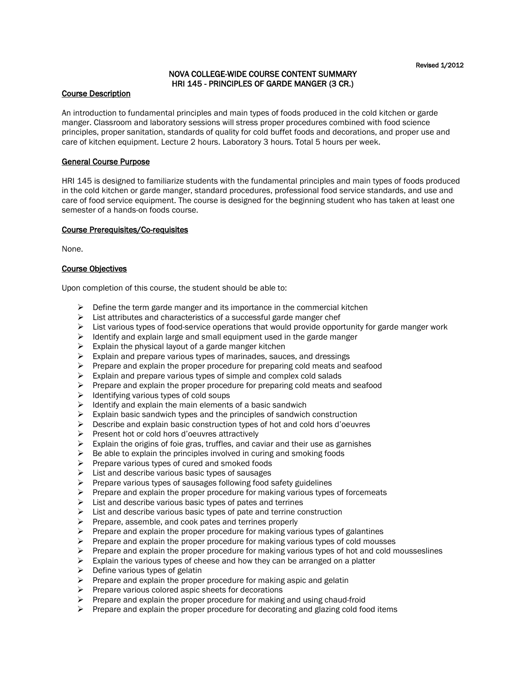# NOVA COLLEGE-WIDE COURSE CONTENT SUMMARY HRI 145 - PRINCIPLES OF GARDE MANGER (3 CR.)

#### Course Description

An introduction to fundamental principles and main types of foods produced in the cold kitchen or garde manger. Classroom and laboratory sessions will stress proper procedures combined with food science principles, proper sanitation, standards of quality for cold buffet foods and decorations, and proper use and care of kitchen equipment. Lecture 2 hours. Laboratory 3 hours. Total 5 hours per week.

#### General Course Purpose

HRI 145 is designed to familiarize students with the fundamental principles and main types of foods produced in the cold kitchen or garde manger, standard procedures, professional food service standards, and use and care of food service equipment. The course is designed for the beginning student who has taken at least one semester of a hands-on foods course.

## Course Prerequisites/Co-requisites

None.

#### Course Objectives

Upon completion of this course, the student should be able to:

- $\triangleright$  Define the term garde manger and its importance in the commercial kitchen
- $\triangleright$  List attributes and characteristics of a successful garde manger chef
- $\triangleright$  List various types of food-service operations that would provide opportunity for garde manger work
- $\triangleright$  Identify and explain large and small equipment used in the garde manger
- $\triangleright$  Explain the physical layout of a garde manger kitchen
- $\triangleright$  Explain and prepare various types of marinades, sauces, and dressings
- $\triangleright$  Prepare and explain the proper procedure for preparing cold meats and seafood
- $\triangleright$  Explain and prepare various types of simple and complex cold salads
- $\triangleright$  Prepare and explain the proper procedure for preparing cold meats and seafood
- $\triangleright$  Identifying various types of cold soups
- $\triangleright$  Identify and explain the main elements of a basic sandwich
- $\triangleright$  Explain basic sandwich types and the principles of sandwich construction
- $\triangleright$  Describe and explain basic construction types of hot and cold hors d'oeuvres
- $\triangleright$  Present hot or cold hors d'oeuvres attractively
- $\triangleright$  Explain the origins of foie gras, truffles, and caviar and their use as garnishes
- $\triangleright$  Be able to explain the principles involved in curing and smoking foods
- $\triangleright$  Prepare various types of cured and smoked foods
- $\triangleright$  List and describe various basic types of sausages
- $\triangleright$  Prepare various types of sausages following food safety guidelines
- $\triangleright$  Prepare and explain the proper procedure for making various types of forcemeats
- $\triangleright$  List and describe various basic types of pates and terrines
- $\triangleright$  List and describe various basic types of pate and terrine construction
- $\triangleright$  Prepare, assemble, and cook pates and terrines properly
- $\triangleright$  Prepare and explain the proper procedure for making various types of galantines
- $\triangleright$  Prepare and explain the proper procedure for making various types of cold mousses
- $\triangleright$  Prepare and explain the proper procedure for making various types of hot and cold mousseslines
- $\triangleright$  Explain the various types of cheese and how they can be arranged on a platter
- $\triangleright$  Define various types of gelatin
- $\triangleright$  Prepare and explain the proper procedure for making aspic and gelatin
- $\triangleright$  Prepare various colored aspic sheets for decorations
- $\triangleright$  Prepare and explain the proper procedure for making and using chaud-froid
- $\triangleright$  Prepare and explain the proper procedure for decorating and glazing cold food items